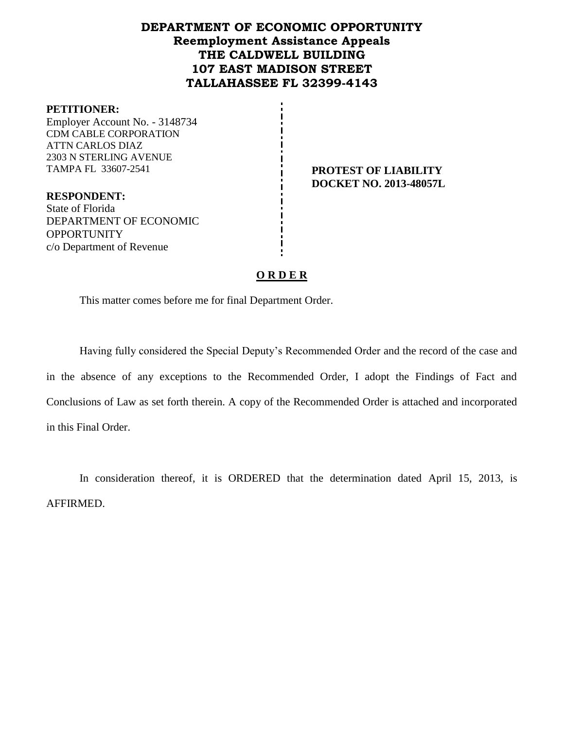# **DEPARTMENT OF ECONOMIC OPPORTUNITY Reemployment Assistance Appeals THE CALDWELL BUILDING 107 EAST MADISON STREET TALLAHASSEE FL 32399-4143**

#### **PETITIONER:**

Employer Account No. - 3148734 CDM CABLE CORPORATION ATTN CARLOS DIAZ 2303 N STERLING AVENUE TAMPA FL 33607-2541 **PROTEST OF LIABILITY**

**DOCKET NO. 2013-48057L**

**RESPONDENT:** State of Florida DEPARTMENT OF ECONOMIC **OPPORTUNITY** c/o Department of Revenue

## **O R D E R**

This matter comes before me for final Department Order.

Having fully considered the Special Deputy's Recommended Order and the record of the case and in the absence of any exceptions to the Recommended Order, I adopt the Findings of Fact and Conclusions of Law as set forth therein. A copy of the Recommended Order is attached and incorporated in this Final Order.

In consideration thereof, it is ORDERED that the determination dated April 15, 2013, is AFFIRMED.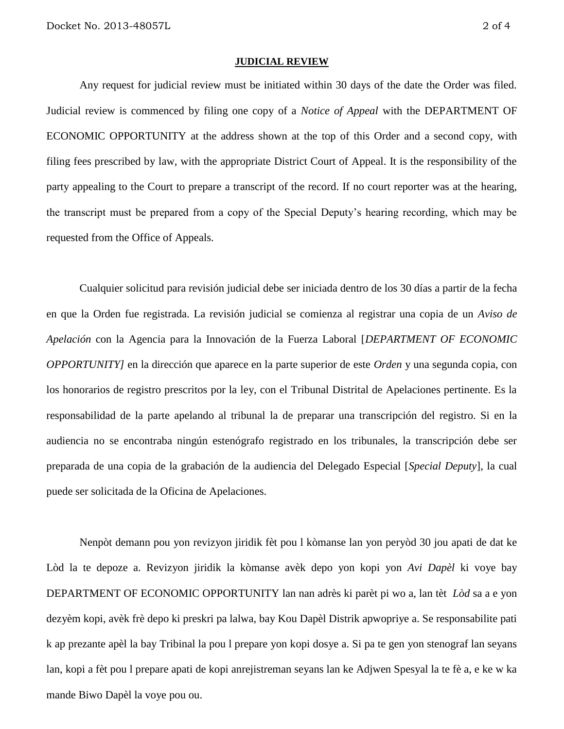#### **JUDICIAL REVIEW**

Any request for judicial review must be initiated within 30 days of the date the Order was filed. Judicial review is commenced by filing one copy of a *Notice of Appeal* with the DEPARTMENT OF ECONOMIC OPPORTUNITY at the address shown at the top of this Order and a second copy, with filing fees prescribed by law, with the appropriate District Court of Appeal. It is the responsibility of the party appealing to the Court to prepare a transcript of the record. If no court reporter was at the hearing, the transcript must be prepared from a copy of the Special Deputy's hearing recording, which may be requested from the Office of Appeals.

Cualquier solicitud para revisión judicial debe ser iniciada dentro de los 30 días a partir de la fecha en que la Orden fue registrada. La revisión judicial se comienza al registrar una copia de un *Aviso de Apelación* con la Agencia para la Innovación de la Fuerza Laboral [*DEPARTMENT OF ECONOMIC OPPORTUNITY]* en la dirección que aparece en la parte superior de este *Orden* y una segunda copia, con los honorarios de registro prescritos por la ley, con el Tribunal Distrital de Apelaciones pertinente. Es la responsabilidad de la parte apelando al tribunal la de preparar una transcripción del registro. Si en la audiencia no se encontraba ningún estenógrafo registrado en los tribunales, la transcripción debe ser preparada de una copia de la grabación de la audiencia del Delegado Especial [*Special Deputy*], la cual puede ser solicitada de la Oficina de Apelaciones.

Nenpòt demann pou yon revizyon jiridik fèt pou l kòmanse lan yon peryòd 30 jou apati de dat ke Lòd la te depoze a. Revizyon jiridik la kòmanse avèk depo yon kopi yon *Avi Dapèl* ki voye bay DEPARTMENT OF ECONOMIC OPPORTUNITY lan nan adrès ki parèt pi wo a, lan tèt *Lòd* sa a e yon dezyèm kopi, avèk frè depo ki preskri pa lalwa, bay Kou Dapèl Distrik apwopriye a. Se responsabilite pati k ap prezante apèl la bay Tribinal la pou l prepare yon kopi dosye a. Si pa te gen yon stenograf lan seyans lan, kopi a fèt pou l prepare apati de kopi anrejistreman seyans lan ke Adjwen Spesyal la te fè a, e ke w ka mande Biwo Dapèl la voye pou ou.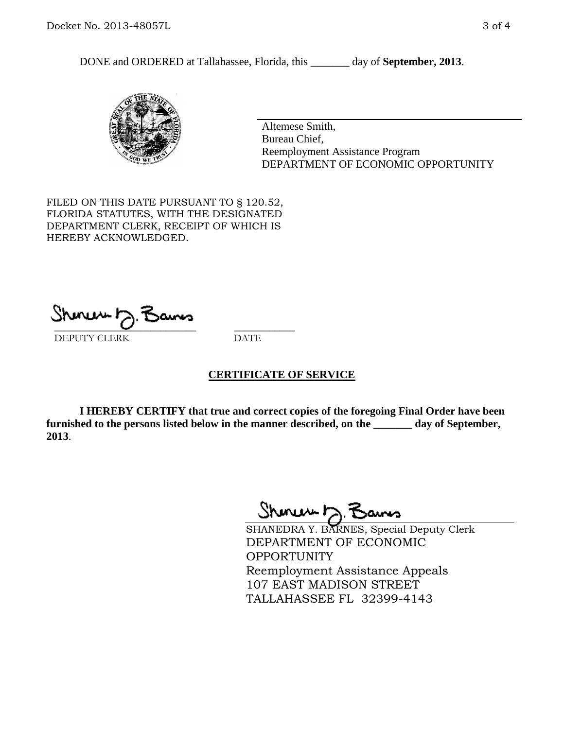DONE and ORDERED at Tallahassee, Florida, this \_\_\_\_\_\_\_ day of **September, 2013**.



Altemese Smith, Bureau Chief, Reemployment Assistance Program DEPARTMENT OF ECONOMIC OPPORTUNITY

FILED ON THIS DATE PURSUANT TO § 120.52, FLORIDA STATUTES, WITH THE DESIGNATED DEPARTMENT CLERK, RECEIPT OF WHICH IS HEREBY ACKNOWLEDGED.

 $\overline{\phantom{a}}$  ,  $\overline{\phantom{a}}$  ,  $\overline{\phantom{a}}$  ,  $\overline{\phantom{a}}$  ,  $\overline{\phantom{a}}$  ,  $\overline{\phantom{a}}$  ,  $\overline{\phantom{a}}$  ,  $\overline{\phantom{a}}$ DEPUTY CLERK DATE

## **CERTIFICATE OF SERVICE**

**I HEREBY CERTIFY that true and correct copies of the foregoing Final Order have been furnished to the persons listed below in the manner described, on the \_\_\_\_\_\_\_ day of September, 2013**.

Shoner D. Bans

SHANEDRA Y. BARNES, Special Deputy Clerk DEPARTMENT OF ECONOMIC OPPORTUNITY Reemployment Assistance Appeals 107 EAST MADISON STREET TALLAHASSEE FL 32399-4143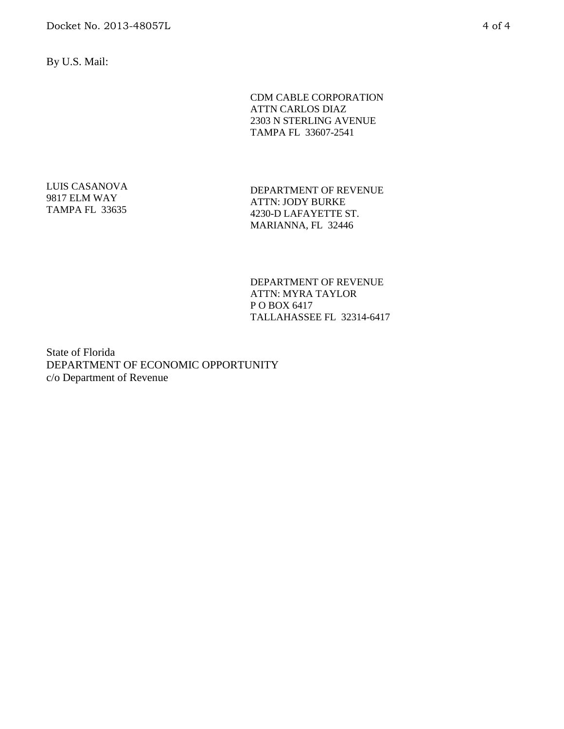By U.S. Mail:

CDM CABLE CORPORATION ATTN CARLOS DIAZ 2303 N STERLING AVENUE TAMPA FL 33607-2541

LUIS CASANOVA 9817 ELM WAY TAMPA FL 33635

DEPARTMENT OF REVENUE ATTN: JODY BURKE 4230-D LAFAYETTE ST. MARIANNA, FL 32446

DEPARTMENT OF REVENUE ATTN: MYRA TAYLOR P O BOX 6417 TALLAHASSEE FL 32314-6417

State of Florida DEPARTMENT OF ECONOMIC OPPORTUNITY c/o Department of Revenue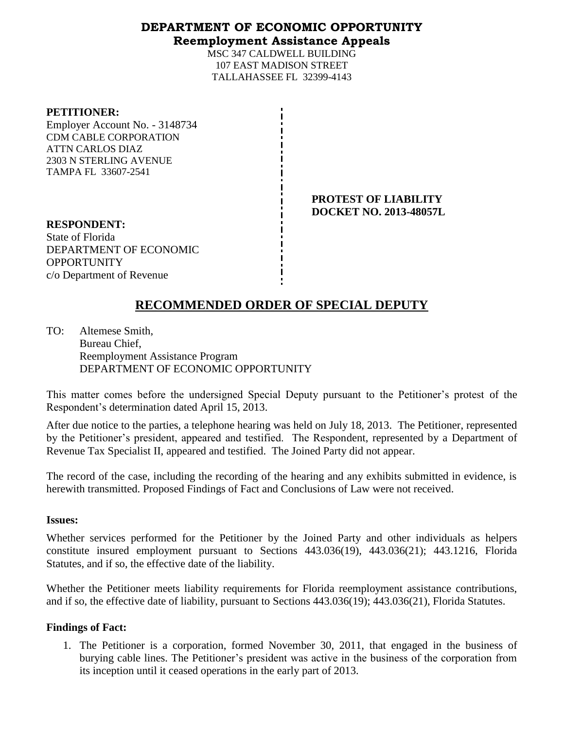## **DEPARTMENT OF ECONOMIC OPPORTUNITY Reemployment Assistance Appeals**

MSC 347 CALDWELL BUILDING 107 EAST MADISON STREET TALLAHASSEE FL 32399-4143

### **PETITIONER:**

Employer Account No. - 3148734 CDM CABLE CORPORATION ATTN CARLOS DIAZ 2303 N STERLING AVENUE TAMPA FL 33607-2541

> **PROTEST OF LIABILITY DOCKET NO. 2013-48057L**

**RESPONDENT:** State of Florida DEPARTMENT OF ECONOMIC **OPPORTUNITY** c/o Department of Revenue

# **RECOMMENDED ORDER OF SPECIAL DEPUTY**

TO: Altemese Smith, Bureau Chief, Reemployment Assistance Program DEPARTMENT OF ECONOMIC OPPORTUNITY

This matter comes before the undersigned Special Deputy pursuant to the Petitioner's protest of the Respondent's determination dated April 15, 2013.

After due notice to the parties, a telephone hearing was held on July 18, 2013. The Petitioner, represented by the Petitioner's president, appeared and testified. The Respondent, represented by a Department of Revenue Tax Specialist II, appeared and testified. The Joined Party did not appear.

The record of the case, including the recording of the hearing and any exhibits submitted in evidence, is herewith transmitted. Proposed Findings of Fact and Conclusions of Law were not received.

### **Issues:**

Whether services performed for the Petitioner by the Joined Party and other individuals as helpers constitute insured employment pursuant to Sections 443.036(19), 443.036(21); 443.1216, Florida Statutes, and if so, the effective date of the liability.

Whether the Petitioner meets liability requirements for Florida reemployment assistance contributions, and if so, the effective date of liability, pursuant to Sections 443.036(19); 443.036(21), Florida Statutes.

## **Findings of Fact:**

1. The Petitioner is a corporation, formed November 30, 2011, that engaged in the business of burying cable lines. The Petitioner's president was active in the business of the corporation from its inception until it ceased operations in the early part of 2013.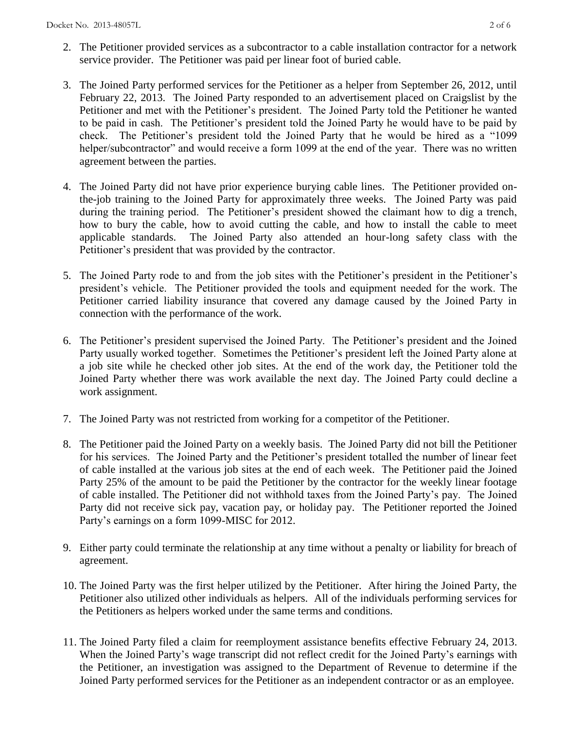- 2. The Petitioner provided services as a subcontractor to a cable installation contractor for a network service provider. The Petitioner was paid per linear foot of buried cable.
- 3. The Joined Party performed services for the Petitioner as a helper from September 26, 2012, until February 22, 2013. The Joined Party responded to an advertisement placed on Craigslist by the Petitioner and met with the Petitioner's president. The Joined Party told the Petitioner he wanted to be paid in cash. The Petitioner's president told the Joined Party he would have to be paid by check. The Petitioner's president told the Joined Party that he would be hired as a "1099 helper/subcontractor" and would receive a form 1099 at the end of the year. There was no written agreement between the parties.
- 4. The Joined Party did not have prior experience burying cable lines. The Petitioner provided onthe-job training to the Joined Party for approximately three weeks. The Joined Party was paid during the training period. The Petitioner's president showed the claimant how to dig a trench, how to bury the cable, how to avoid cutting the cable, and how to install the cable to meet applicable standards. The Joined Party also attended an hour-long safety class with the Petitioner's president that was provided by the contractor.
- 5. The Joined Party rode to and from the job sites with the Petitioner's president in the Petitioner's president's vehicle. The Petitioner provided the tools and equipment needed for the work. The Petitioner carried liability insurance that covered any damage caused by the Joined Party in connection with the performance of the work.
- 6. The Petitioner's president supervised the Joined Party. The Petitioner's president and the Joined Party usually worked together. Sometimes the Petitioner's president left the Joined Party alone at a job site while he checked other job sites. At the end of the work day, the Petitioner told the Joined Party whether there was work available the next day. The Joined Party could decline a work assignment.
- 7. The Joined Party was not restricted from working for a competitor of the Petitioner.
- 8. The Petitioner paid the Joined Party on a weekly basis. The Joined Party did not bill the Petitioner for his services. The Joined Party and the Petitioner's president totalled the number of linear feet of cable installed at the various job sites at the end of each week. The Petitioner paid the Joined Party 25% of the amount to be paid the Petitioner by the contractor for the weekly linear footage of cable installed. The Petitioner did not withhold taxes from the Joined Party's pay. The Joined Party did not receive sick pay, vacation pay, or holiday pay. The Petitioner reported the Joined Party's earnings on a form 1099-MISC for 2012.
- 9. Either party could terminate the relationship at any time without a penalty or liability for breach of agreement.
- 10. The Joined Party was the first helper utilized by the Petitioner. After hiring the Joined Party, the Petitioner also utilized other individuals as helpers. All of the individuals performing services for the Petitioners as helpers worked under the same terms and conditions.
- 11. The Joined Party filed a claim for reemployment assistance benefits effective February 24, 2013. When the Joined Party's wage transcript did not reflect credit for the Joined Party's earnings with the Petitioner, an investigation was assigned to the Department of Revenue to determine if the Joined Party performed services for the Petitioner as an independent contractor or as an employee.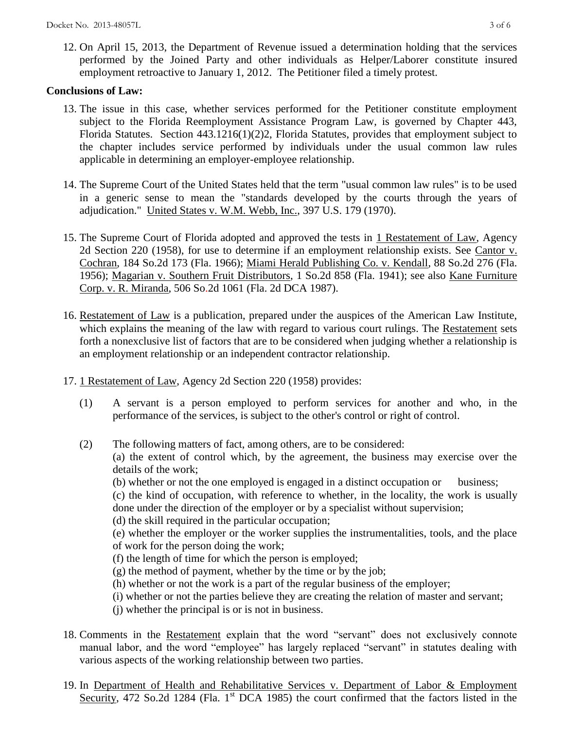12. On April 15, 2013, the Department of Revenue issued a determination holding that the services performed by the Joined Party and other individuals as Helper/Laborer constitute insured employment retroactive to January 1, 2012. The Petitioner filed a timely protest.

## **Conclusions of Law:**

- 13. The issue in this case, whether services performed for the Petitioner constitute employment subject to the Florida Reemployment Assistance Program Law, is governed by Chapter 443, Florida Statutes. Section 443.1216(1)(2)2, Florida Statutes, provides that employment subject to the chapter includes service performed by individuals under the usual common law rules applicable in determining an employer-employee relationship.
- 14. The Supreme Court of the United States held that the term "usual common law rules" is to be used in a generic sense to mean the "standards developed by the courts through the years of adjudication." United States v. W.M. Webb, Inc., 397 U.S. 179 (1970).
- 15. The Supreme Court of Florida adopted and approved the tests in 1 Restatement of Law, Agency 2d Section 220 (1958), for use to determine if an employment relationship exists. See Cantor v. Cochran, 184 So.2d 173 (Fla. 1966); Miami Herald Publishing Co. v. Kendall, 88 So.2d 276 (Fla. 1956); Magarian v. Southern Fruit Distributors, 1 So.2d 858 (Fla. 1941); see also Kane Furniture Corp. v. R. Miranda, 506 So.2d 1061 (Fla. 2d DCA 1987).
- 16. Restatement of Law is a publication, prepared under the auspices of the American Law Institute, which explains the meaning of the law with regard to various court rulings. The Restatement sets forth a nonexclusive list of factors that are to be considered when judging whether a relationship is an employment relationship or an independent contractor relationship.
- 17. 1 Restatement of Law, Agency 2d Section 220 (1958) provides:
	- (1) A servant is a person employed to perform services for another and who, in the performance of the services, is subject to the other's control or right of control.
	- (2) The following matters of fact, among others, are to be considered: (a) the extent of control which, by the agreement, the business may exercise over the details of the work;
		- (b) whether or not the one employed is engaged in a distinct occupation or business;

(c) the kind of occupation, with reference to whether, in the locality, the work is usually done under the direction of the employer or by a specialist without supervision;

(d) the skill required in the particular occupation;

(e) whether the employer or the worker supplies the instrumentalities, tools, and the place of work for the person doing the work;

- (f) the length of time for which the person is employed;
- (g) the method of payment, whether by the time or by the job;
- (h) whether or not the work is a part of the regular business of the employer;
- (i) whether or not the parties believe they are creating the relation of master and servant;
- (j) whether the principal is or is not in business.
- 18. Comments in the Restatement explain that the word "servant" does not exclusively connote manual labor, and the word "employee" has largely replaced "servant" in statutes dealing with various aspects of the working relationship between two parties.
- 19. In Department of Health and Rehabilitative Services v. Department of Labor & Employment Security, 472 So.2d 1284 (Fla. 1<sup>st</sup> DCA 1985) the court confirmed that the factors listed in the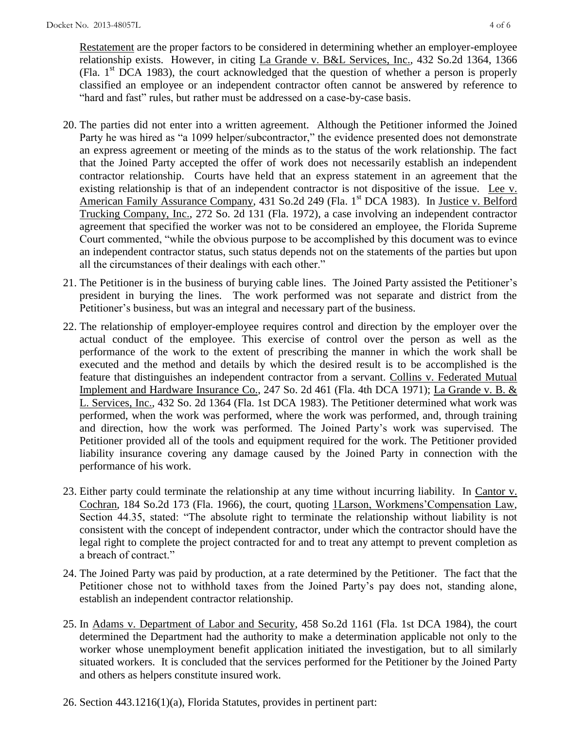Restatement are the proper factors to be considered in determining whether an employer-employee relationship exists. However, in citing La Grande v. B&L Services, Inc., 432 So.2d 1364, 1366 (Fla.  $1<sup>st</sup> DCA$  1983), the court acknowledged that the question of whether a person is properly classified an employee or an independent contractor often cannot be answered by reference to "hard and fast" rules, but rather must be addressed on a case-by-case basis.

- 20. The parties did not enter into a written agreement. Although the Petitioner informed the Joined Party he was hired as "a 1099 helper/subcontractor," the evidence presented does not demonstrate an express agreement or meeting of the minds as to the status of the work relationship. The fact that the Joined Party accepted the offer of work does not necessarily establish an independent contractor relationship. Courts have held that an express statement in an agreement that the existing relationship is that of an independent contractor is not dispositive of the issue. Lee v. American Family Assurance Company, 431 So.2d 249 (Fla. 1<sup>st</sup> DCA 1983). In Justice v. Belford Trucking Company, Inc., 272 So. 2d 131 (Fla. 1972), a case involving an independent contractor agreement that specified the worker was not to be considered an employee, the Florida Supreme Court commented, "while the obvious purpose to be accomplished by this document was to evince an independent contractor status, such status depends not on the statements of the parties but upon all the circumstances of their dealings with each other."
- 21. The Petitioner is in the business of burying cable lines. The Joined Party assisted the Petitioner's president in burying the lines. The work performed was not separate and district from the Petitioner's business, but was an integral and necessary part of the business.
- 22. The relationship of employer-employee requires control and direction by the employer over the actual conduct of the employee. This exercise of control over the person as well as the performance of the work to the extent of prescribing the manner in which the work shall be executed and the method and details by which the desired result is to be accomplished is the feature that distinguishes an independent contractor from a servant. Collins v. Federated Mutual Implement and Hardware Insurance Co., 247 So. 2d 461 (Fla. 4th DCA 1971); La Grande v. B. & L. Services, Inc., 432 So. 2d 1364 (Fla. 1st DCA 1983). The Petitioner determined what work was performed, when the work was performed, where the work was performed, and, through training and direction, how the work was performed. The Joined Party's work was supervised. The Petitioner provided all of the tools and equipment required for the work. The Petitioner provided liability insurance covering any damage caused by the Joined Party in connection with the performance of his work.
- 23. Either party could terminate the relationship at any time without incurring liability. In Cantor v. Cochran, 184 So.2d 173 (Fla. 1966), the court, quoting 1Larson, Workmens'Compensation Law, Section 44.35, stated: "The absolute right to terminate the relationship without liability is not consistent with the concept of independent contractor, under which the contractor should have the legal right to complete the project contracted for and to treat any attempt to prevent completion as a breach of contract."
- 24. The Joined Party was paid by production, at a rate determined by the Petitioner. The fact that the Petitioner chose not to withhold taxes from the Joined Party's pay does not, standing alone, establish an independent contractor relationship.
- 25. In Adams v. Department of Labor and Security, 458 So.2d 1161 (Fla. 1st DCA 1984), the court determined the Department had the authority to make a determination applicable not only to the worker whose unemployment benefit application initiated the investigation, but to all similarly situated workers. It is concluded that the services performed for the Petitioner by the Joined Party and others as helpers constitute insured work.
- 26. Section 443.1216(1)(a), Florida Statutes, provides in pertinent part: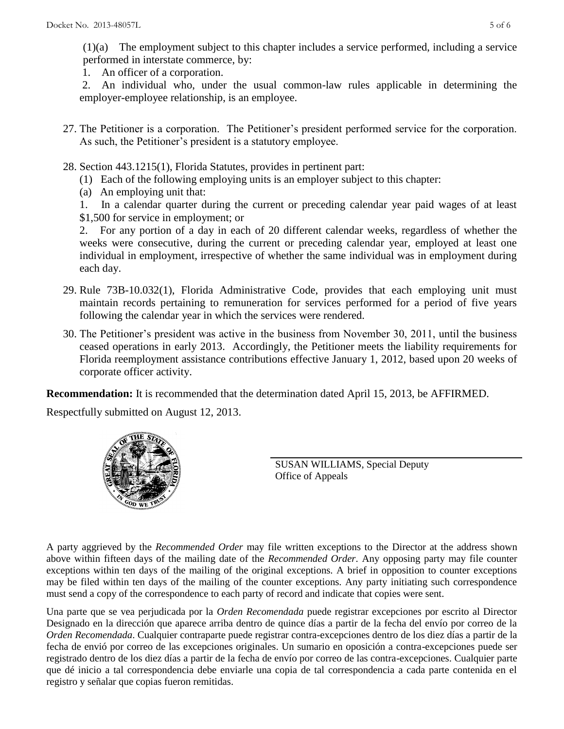(1)(a) The employment subject to this chapter includes a service performed, including a service performed in interstate commerce, by:

1. An officer of a corporation.

2. An individual who, under the usual common-law rules applicable in determining the employer-employee relationship, is an employee.

- 27. The Petitioner is a corporation. The Petitioner's president performed service for the corporation. As such, the Petitioner's president is a statutory employee.
- 28. Section 443.1215(1), Florida Statutes, provides in pertinent part:
	- (1) Each of the following employing units is an employer subject to this chapter:
	- (a) An employing unit that:

1. In a calendar quarter during the current or preceding calendar year paid wages of at least \$1,500 for service in employment; or

2. For any portion of a day in each of 20 different calendar weeks, regardless of whether the weeks were consecutive, during the current or preceding calendar year, employed at least one individual in employment, irrespective of whether the same individual was in employment during each day.

- 29. Rule 73B-10.032(1), Florida Administrative Code, provides that each employing unit must maintain records pertaining to remuneration for services performed for a period of five years following the calendar year in which the services were rendered.
- 30. The Petitioner's president was active in the business from November 30, 2011, until the business ceased operations in early 2013. Accordingly, the Petitioner meets the liability requirements for Florida reemployment assistance contributions effective January 1, 2012, based upon 20 weeks of corporate officer activity.

**Recommendation:** It is recommended that the determination dated April 15, 2013, be AFFIRMED.

Respectfully submitted on August 12, 2013.



SUSAN WILLIAMS, Special Deputy Office of Appeals

A party aggrieved by the *Recommended Order* may file written exceptions to the Director at the address shown above within fifteen days of the mailing date of the *Recommended Order*. Any opposing party may file counter exceptions within ten days of the mailing of the original exceptions. A brief in opposition to counter exceptions may be filed within ten days of the mailing of the counter exceptions. Any party initiating such correspondence must send a copy of the correspondence to each party of record and indicate that copies were sent.

Una parte que se vea perjudicada por la *Orden Recomendada* puede registrar excepciones por escrito al Director Designado en la dirección que aparece arriba dentro de quince días a partir de la fecha del envío por correo de la *Orden Recomendada*. Cualquier contraparte puede registrar contra-excepciones dentro de los diez días a partir de la fecha de envió por correo de las excepciones originales. Un sumario en oposición a contra-excepciones puede ser registrado dentro de los diez días a partir de la fecha de envío por correo de las contra-excepciones. Cualquier parte que dé inicio a tal correspondencia debe enviarle una copia de tal correspondencia a cada parte contenida en el registro y señalar que copias fueron remitidas.